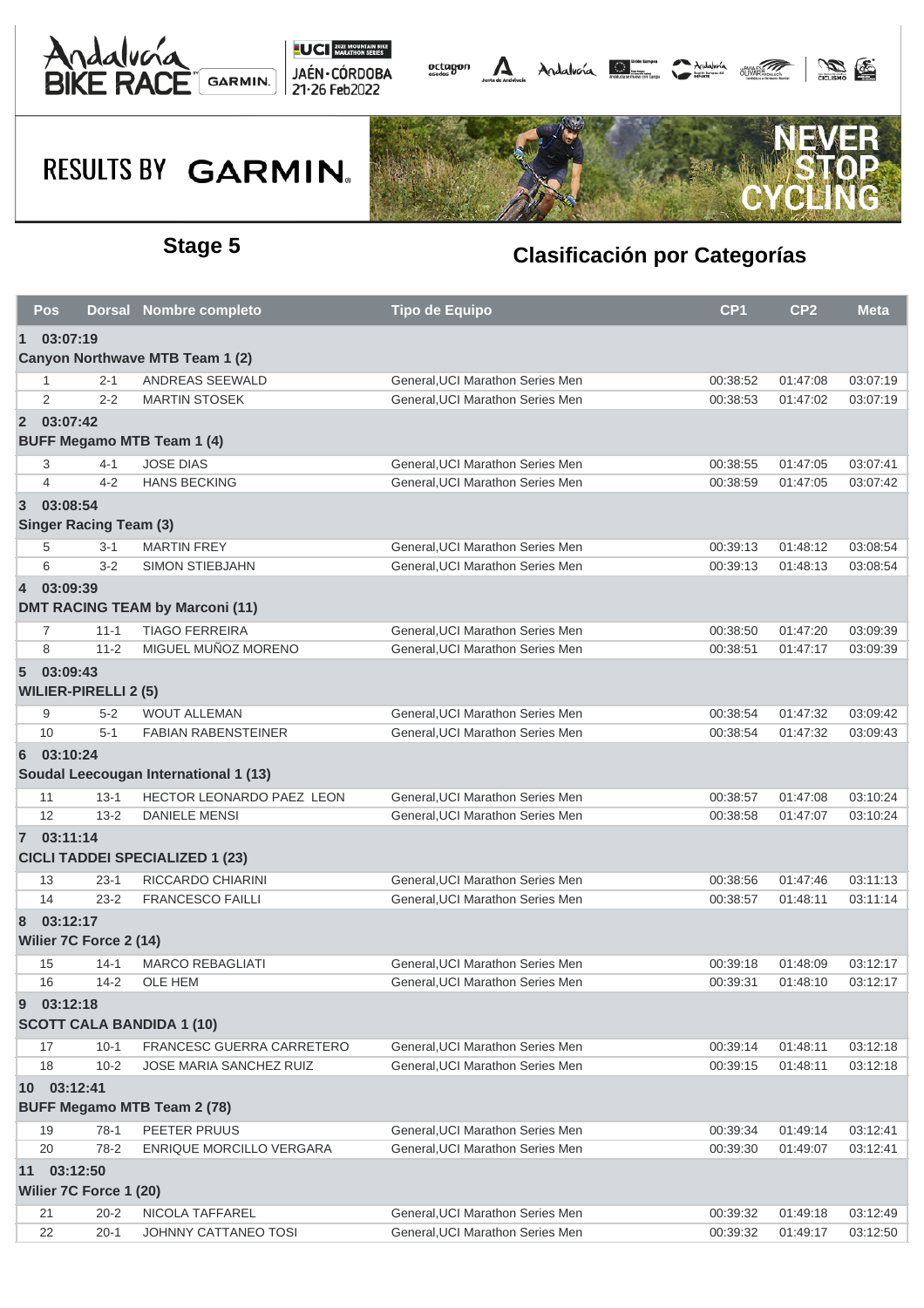





|                 | <b>Pos</b>  |                               | Dorsal Nombre completo                       | <b>Tipo de Equipo</b>                                                | CP <sub>1</sub> | CP <sub>2</sub> | <b>Meta</b>          |
|-----------------|-------------|-------------------------------|----------------------------------------------|----------------------------------------------------------------------|-----------------|-----------------|----------------------|
| $\mathbf 1$     | 03:07:19    |                               |                                              |                                                                      |                 |                 |                      |
|                 |             |                               | Canyon Northwave MTB Team 1 (2)              |                                                                      |                 |                 |                      |
|                 | -1          | $2 - 1$                       | ANDREAS SEEWALD                              | General, UCI Marathon Series Men                                     | 00:38:52        | 01:47:08        | 03:07:19             |
|                 | 2           | $2 - 2$                       | <b>MARTIN STOSEK</b>                         | General, UCI Marathon Series Men                                     | 00:38:53        | 01:47:02        | 03:07:19             |
|                 | 2 03:07:42  |                               |                                              |                                                                      |                 |                 |                      |
|                 |             |                               | <b>BUFF Megamo MTB Team 1 (4)</b>            |                                                                      |                 |                 |                      |
|                 | 3           | 4-1                           | <b>JOSE DIAS</b>                             | General, UCI Marathon Series Men                                     | 00:38:55        | 01:47:05        | 03:07:41             |
|                 | 4           | $4 - 2$                       | <b>HANS BECKING</b>                          | General, UCI Marathon Series Men                                     | 00:38:59        | 01:47:05        | 03:07:42             |
| $\overline{3}$  | 03:08:54    |                               |                                              |                                                                      |                 |                 |                      |
|                 |             | <b>Singer Racing Team (3)</b> |                                              |                                                                      |                 |                 |                      |
|                 | 5           | $3 - 1$                       | <b>MARTIN FREY</b>                           | General, UCI Marathon Series Men                                     | 00:39:13        | 01:48:12        | 03:08:54             |
|                 | 6           | $3 - 2$                       | <b>SIMON STIEBJAHN</b>                       | General, UCI Marathon Series Men                                     | 00:39:13        | 01:48:13        | 03:08:54             |
| $\overline{4}$  | 03:09:39    |                               |                                              |                                                                      |                 |                 |                      |
|                 |             |                               | <b>DMT RACING TEAM by Marconi (11)</b>       |                                                                      |                 |                 |                      |
|                 | 7           | $11 - 1$                      | <b>TIAGO FERREIRA</b>                        | General, UCI Marathon Series Men                                     | 00:38:50        | 01:47:20        | 03:09:39             |
|                 | 8           | $11 - 2$                      | MIGUEL MUÑOZ MORENO                          | General, UCI Marathon Series Men                                     | 00:38:51        | 01:47:17        | 03:09:39             |
| $5\overline{5}$ | 03:09:43    |                               |                                              |                                                                      |                 |                 |                      |
|                 |             | <b>WILIER-PIRELLI 2 (5)</b>   |                                              |                                                                      |                 |                 |                      |
|                 | 9           | $5 - 2$                       | <b>WOUT ALLEMAN</b>                          | General, UCI Marathon Series Men                                     | 00:38:54        | 01:47:32        | 03:09:42             |
|                 | 10          | $5 - 1$                       | <b>FABIAN RABENSTEINER</b>                   | General, UCI Marathon Series Men                                     | 00:38:54        | 01:47:32        | 03:09:43             |
| 6               | 03:10:24    |                               |                                              |                                                                      |                 |                 |                      |
|                 |             |                               | Soudal Leecougan International 1 (13)        |                                                                      |                 |                 |                      |
|                 | 11          | $13 - 1$                      | HECTOR LEONARDO PAEZ LEON                    | General, UCI Marathon Series Men                                     | 00:38:57        | 01:47:08        | 03:10:24             |
|                 | 12          | $13 - 2$                      | <b>DANIELE MENSI</b>                         | General, UCI Marathon Series Men                                     | 00:38:58        | 01:47:07        | 03:10:24             |
|                 | 7 03:11:14  |                               |                                              |                                                                      |                 |                 |                      |
|                 |             |                               | <b>CICLI TADDEI SPECIALIZED 1 (23)</b>       |                                                                      |                 |                 |                      |
|                 | 13<br>14    | $23-1$<br>$23 - 2$            | RICCARDO CHIARINI<br><b>FRANCESCO FAILLI</b> | General, UCI Marathon Series Men<br>General, UCI Marathon Series Men | 00:38:56        | 01:47:46        | 03:11:13<br>03:11:14 |
|                 |             |                               |                                              |                                                                      | 00:38:57        | 01:48:11        |                      |
| 8               | 03:12:17    | Wilier 7C Force 2 (14)        |                                              |                                                                      |                 |                 |                      |
|                 | 15          | $14-1$                        | <b>MARCO REBAGLIATI</b>                      | General, UCI Marathon Series Men                                     | 00:39:18        | 01:48:09        | 03:12:17             |
|                 | 16          | $14 - 2$                      | <b>OLE HEM</b>                               | General, UCI Marathon Series Men                                     | 00:39:31        | 01:48:10        | 03:12:17             |
| 9               | 03:12:18    |                               |                                              |                                                                      |                 |                 |                      |
|                 |             |                               | <b>SCOTT CALA BANDIDA 1 (10)</b>             |                                                                      |                 |                 |                      |
|                 | 17          | $10-1$                        | FRANCESC GUERRA CARRETERO                    | General, UCI Marathon Series Men                                     | 00:39:14        | 01:48:11        | 03:12:18             |
|                 | 18          | $10 - 2$                      | JOSE MARIA SANCHEZ RUIZ                      | General, UCI Marathon Series Men                                     | 00:39:15        | 01:48:11        | 03:12:18             |
|                 | 10 03:12:41 |                               |                                              |                                                                      |                 |                 |                      |
|                 |             |                               | <b>BUFF Megamo MTB Team 2 (78)</b>           |                                                                      |                 |                 |                      |
|                 | 19          | $78-1$                        | PEETER PRUUS                                 | General, UCI Marathon Series Men                                     | 00:39:34        | 01:49:14        | 03:12:41             |
|                 | 20          | $78-2$                        | ENRIQUE MORCILLO VERGARA                     | General, UCI Marathon Series Men                                     | 00:39:30        | 01:49:07        | 03:12:41             |
|                 | 11 03:12:50 |                               |                                              |                                                                      |                 |                 |                      |
|                 |             | Wilier 7C Force 1 (20)        |                                              |                                                                      |                 |                 |                      |
|                 | 21          | $20 - 2$                      | NICOLA TAFFAREL                              | General, UCI Marathon Series Men                                     | 00:39:32        | 01:49:18        | 03:12:49             |
|                 | 22          | $20 - 1$                      | JOHNNY CATTANEO TOSI                         | General, UCI Marathon Series Men                                     | 00:39:32        | 01:49:17        | 03:12:50             |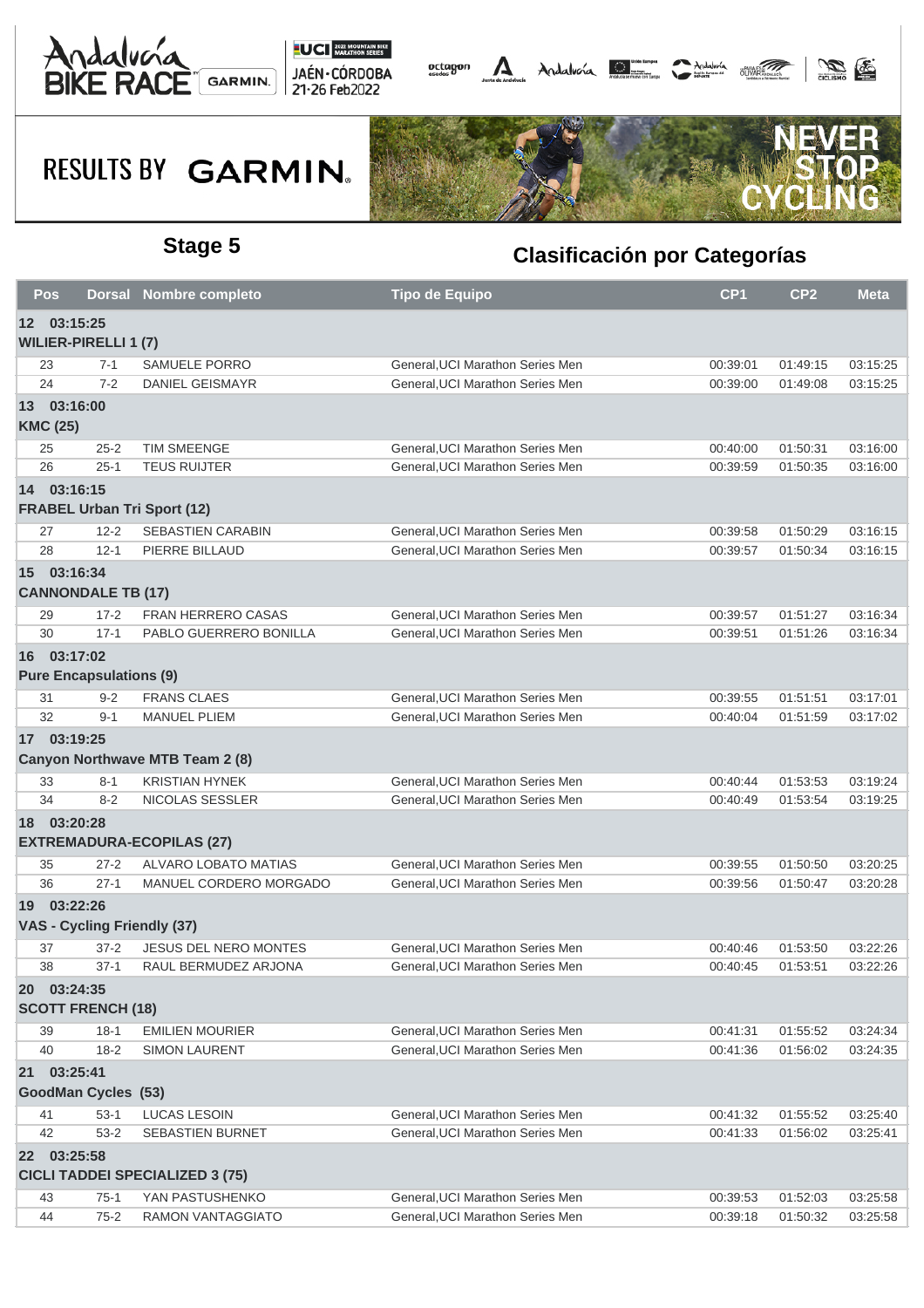





| <b>Pos</b>      |                                            | Dorsal Nombre completo                 | <b>Tipo de Equipo</b>            | CP <sub>1</sub> | CP <sub>2</sub> | <b>Meta</b> |
|-----------------|--------------------------------------------|----------------------------------------|----------------------------------|-----------------|-----------------|-------------|
|                 | 12 03:15:25<br><b>WILIER-PIRELLI 1 (7)</b> |                                        |                                  |                 |                 |             |
|                 |                                            |                                        |                                  |                 |                 |             |
| 23              | 7-1<br>$7 - 2$                             | <b>SAMUELE PORRO</b>                   | General, UCI Marathon Series Men | 00:39:01        | 01:49:15        | 03:15:25    |
| 24              |                                            | <b>DANIEL GEISMAYR</b>                 | General, UCI Marathon Series Men | 00:39:00        | 01:49:08        | 03:15:25    |
| <b>KMC (25)</b> | 13 03:16:00                                |                                        |                                  |                 |                 |             |
| 25              | $25 - 2$                                   | <b>TIM SMEENGE</b>                     | General, UCI Marathon Series Men | 00:40:00        | 01:50:31        | 03:16:00    |
| 26              | $25 - 1$                                   | <b>TEUS RUIJTER</b>                    | General, UCI Marathon Series Men | 00:39:59        | 01:50:35        | 03:16:00    |
|                 | 14 03:16:15                                |                                        |                                  |                 |                 |             |
|                 | <b>FRABEL Urban Tri Sport (12)</b>         |                                        |                                  |                 |                 |             |
| 27              | $12 - 2$                                   | SEBASTIEN CARABIN                      | General, UCI Marathon Series Men | 00:39:58        | 01:50:29        | 03:16:15    |
| 28              | $12 - 1$                                   | PIERRE BILLAUD                         | General, UCI Marathon Series Men | 00:39:57        | 01:50:34        | 03:16:15    |
|                 | 15 03:16:34<br><b>CANNONDALE TB (17)</b>   |                                        |                                  |                 |                 |             |
| 29              | $17 - 2$                                   | <b>FRAN HERRERO CASAS</b>              | General, UCI Marathon Series Men | 00:39:57        | 01:51:27        | 03:16:34    |
| 30              | $17 - 1$                                   | PABLO GUERRERO BONILLA                 | General, UCI Marathon Series Men | 00:39:51        | 01:51:26        | 03:16:34    |
|                 | 16 03:17:02                                |                                        |                                  |                 |                 |             |
|                 | <b>Pure Encapsulations (9)</b>             |                                        |                                  |                 |                 |             |
| 31              | $9 - 2$                                    | <b>FRANS CLAES</b>                     | General, UCI Marathon Series Men | 00:39:55        | 01:51:51        | 03:17:01    |
| 32              | $9 - 1$                                    | <b>MANUEL PLIEM</b>                    | General, UCI Marathon Series Men | 00:40:04        | 01:51:59        | 03:17:02    |
|                 | 17 03:19:25                                |                                        |                                  |                 |                 |             |
|                 |                                            | <b>Canyon Northwave MTB Team 2 (8)</b> |                                  |                 |                 |             |
| 33              | $8 - 1$                                    | <b>KRISTIAN HYNEK</b>                  | General, UCI Marathon Series Men | 00:40:44        | 01:53:53        | 03:19:24    |
| 34              | $8 - 2$                                    | NICOLAS SESSLER                        | General, UCI Marathon Series Men | 00:40:49        | 01:53:54        | 03:19:25    |
|                 | 18 03:20:28                                |                                        |                                  |                 |                 |             |
|                 |                                            | <b>EXTREMADURA-ECOPILAS (27)</b>       |                                  |                 |                 |             |
| 35              | $27 - 2$                                   | ALVARO LOBATO MATIAS                   | General, UCI Marathon Series Men | 00:39:55        | 01:50:50        | 03:20:25    |
| 36              | $27 - 1$                                   | MANUEL CORDERO MORGADO                 | General, UCI Marathon Series Men | 00:39:56        | 01:50:47        | 03:20:28    |
|                 | 19 03:22:26<br>VAS - Cycling Friendly (37) |                                        |                                  |                 |                 |             |
| 37              | $37 - 2$                                   | <b>JESUS DEL NERO MONTES</b>           | General, UCI Marathon Series Men | 00:40:46        | 01:53:50        | 03:22:26    |
| 38              | $37-1$                                     | RAUL BERMUDEZ ARJONA                   | General, UCI Marathon Series Men | 00:40:45        | 01:53:51        | 03:22:26    |
|                 | 20 03:24:35<br><b>SCOTT FRENCH (18)</b>    |                                        |                                  |                 |                 |             |
| 39              | $18-1$                                     | <b>EMILIEN MOURIER</b>                 | General, UCI Marathon Series Men | 00:41:31        | 01:55:52        | 03:24:34    |
| 40              | $18 - 2$                                   | <b>SIMON LAURENT</b>                   | General, UCI Marathon Series Men | 00:41:36        | 01:56:02        | 03:24:35    |
|                 |                                            |                                        |                                  |                 |                 |             |
| 21              | 03:25:41<br><b>GoodMan Cycles (53)</b>     |                                        |                                  |                 |                 |             |
| 41              | $53-1$                                     | LUCAS LESOIN                           | General, UCI Marathon Series Men | 00:41:32        | 01:55:52        | 03:25:40    |
| 42              | $53-2$                                     | SEBASTIEN BURNET                       | General, UCI Marathon Series Men | 00:41:33        | 01:56:02        | 03:25:41    |
|                 | 22 03:25:58                                |                                        |                                  |                 |                 |             |
|                 |                                            | <b>CICLI TADDEI SPECIALIZED 3 (75)</b> |                                  |                 |                 |             |
| 43              | $75-1$                                     | YAN PASTUSHENKO                        | General, UCI Marathon Series Men | 00:39:53        | 01:52:03        | 03:25:58    |
| 44              | $75 - 2$                                   | RAMON VANTAGGIATO                      | General, UCI Marathon Series Men | 00:39:18        | 01:50:32        | 03:25:58    |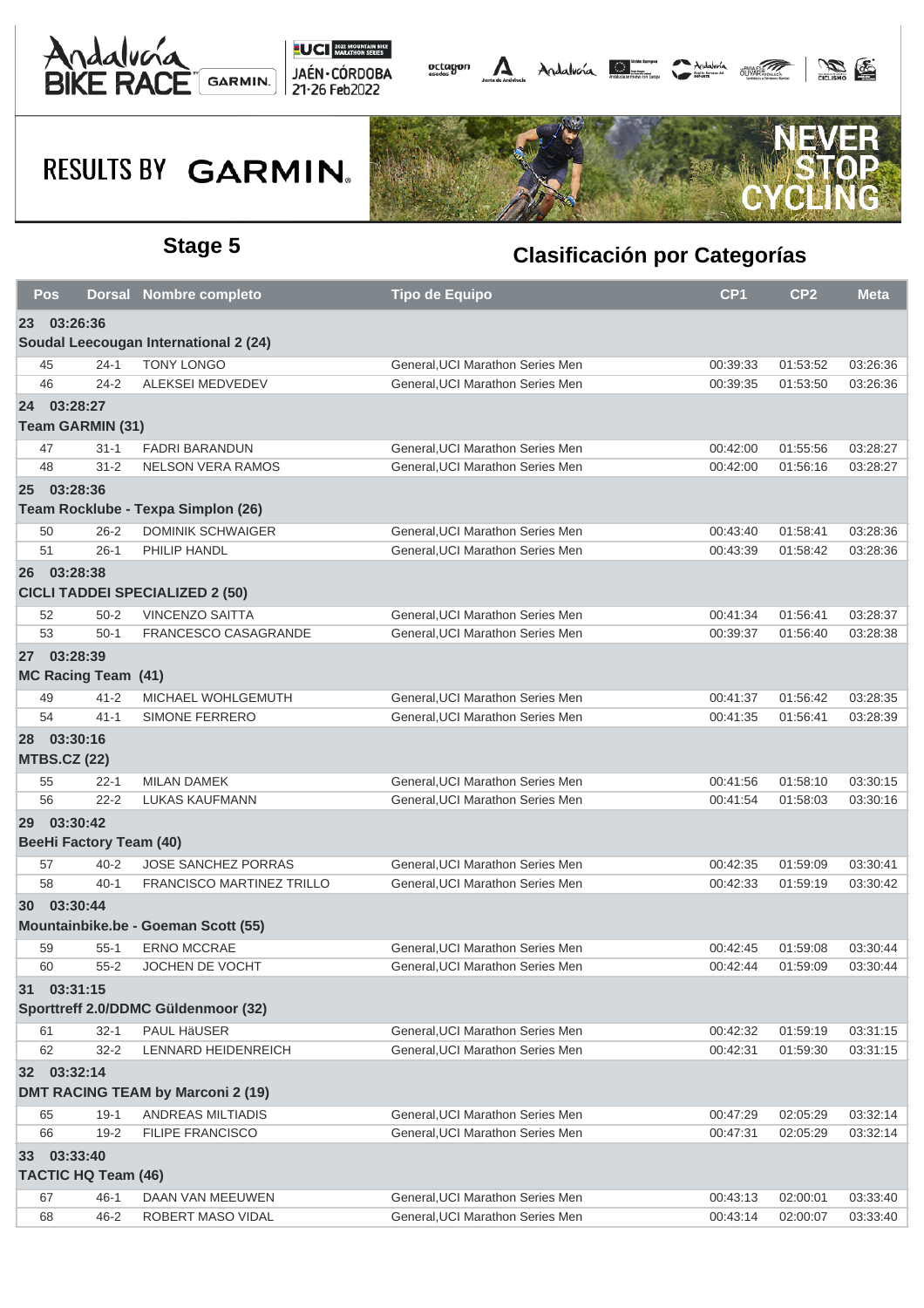





|                 | <b>Pos</b>          |                                | Dorsal Nombre completo                   | <b>Tipo de Equipo</b>            | CP <sub>1</sub> | CP <sub>2</sub> | <b>Meta</b> |
|-----------------|---------------------|--------------------------------|------------------------------------------|----------------------------------|-----------------|-----------------|-------------|
|                 | 23 03:26:36         |                                |                                          |                                  |                 |                 |             |
|                 |                     |                                | Soudal Leecougan International 2 (24)    |                                  |                 |                 |             |
|                 | 45                  | $24 - 1$                       | <b>TONY LONGO</b>                        | General, UCI Marathon Series Men | 00:39:33        | 01:53:52        | 03:26:36    |
|                 | 46                  | $24 - 2$                       | ALEKSEI MEDVEDEV                         | General.UCI Marathon Series Men  | 00:39:35        | 01:53:50        | 03:26:36    |
|                 | 24 03:28:27         |                                |                                          |                                  |                 |                 |             |
|                 |                     | <b>Team GARMIN (31)</b>        |                                          |                                  |                 |                 |             |
|                 | 47                  | $31 - 1$                       | <b>FADRI BARANDUN</b>                    | General, UCI Marathon Series Men | 00:42:00        | 01:55:56        | 03:28:27    |
|                 | 48                  | $31 - 2$                       | <b>NELSON VERA RAMOS</b>                 | General, UCI Marathon Series Men | 00:42:00        | 01:56:16        | 03:28:27    |
| 25 <sub>2</sub> | 03:28:36            |                                |                                          |                                  |                 |                 |             |
|                 |                     |                                | Team Rocklube - Texpa Simplon (26)       |                                  |                 |                 |             |
|                 | 50                  | $26 - 2$                       | <b>DOMINIK SCHWAIGER</b>                 | General, UCI Marathon Series Men | 00:43:40        | 01:58:41        | 03:28:36    |
|                 | 51                  | $26-1$                         | PHILIP HANDL                             | General, UCI Marathon Series Men | 00:43:39        | 01:58:42        | 03:28:36    |
|                 | 26 03:28:38         |                                |                                          |                                  |                 |                 |             |
|                 |                     |                                | <b>CICLI TADDEI SPECIALIZED 2 (50)</b>   |                                  |                 |                 |             |
|                 | 52                  | $50 - 2$                       | <b>VINCENZO SAITTA</b>                   | General, UCI Marathon Series Men | 00:41:34        | 01:56:41        | 03:28:37    |
|                 | 53                  | $50-1$                         | <b>FRANCESCO CASAGRANDE</b>              | General, UCI Marathon Series Men | 00:39:37        | 01:56:40        | 03:28:38    |
| 27              | 03:28:39            |                                |                                          |                                  |                 |                 |             |
|                 |                     | <b>MC Racing Team (41)</b>     |                                          |                                  |                 |                 |             |
|                 | 49                  | $41 - 2$                       | MICHAEL WOHLGEMUTH                       | General, UCI Marathon Series Men | 00:41:37        | 01:56:42        | 03:28:35    |
|                 | 54                  | $41 - 1$                       | <b>SIMONE FERRERO</b>                    | General, UCI Marathon Series Men | 00:41:35        | 01:56:41        | 03:28:39    |
|                 | 28 03:30:16         |                                |                                          |                                  |                 |                 |             |
|                 | <b>MTBS.CZ (22)</b> |                                |                                          |                                  |                 |                 |             |
|                 | 55                  | $22 - 1$                       | <b>MILAN DAMEK</b>                       | General, UCI Marathon Series Men | 00:41:56        | 01:58:10        | 03:30:15    |
|                 | 56                  | $22 - 2$                       | <b>LUKAS KAUFMANN</b>                    | General, UCI Marathon Series Men | 00:41:54        | 01:58:03        | 03:30:16    |
|                 | 29 03:30:42         |                                |                                          |                                  |                 |                 |             |
|                 |                     | <b>BeeHi Factory Team (40)</b> |                                          |                                  |                 |                 |             |
|                 | 57                  | $40 - 2$                       | <b>JOSE SANCHEZ PORRAS</b>               | General, UCI Marathon Series Men | 00:42:35        | 01:59:09        | 03:30:41    |
|                 | 58                  | $40 - 1$                       | <b>FRANCISCO MARTINEZ TRILLO</b>         | General, UCI Marathon Series Men | 00:42:33        | 01:59:19        | 03:30:42    |
|                 | 30 03:30:44         |                                |                                          |                                  |                 |                 |             |
|                 |                     |                                | Mountainbike.be - Goeman Scott (55)      |                                  |                 |                 |             |
|                 | 59                  | $55 - 1$                       | <b>ERNO MCCRAE</b>                       | General, UCI Marathon Series Men | 00:42:45        | 01:59:08        | 03:30:44    |
|                 | 60                  | $55 - 2$                       | JOCHEN DE VOCHT                          | General, UCI Marathon Series Men | 00:42:44        | 01:59:09        | 03:30:44    |
| 31 <sup>2</sup> | 03:31:15            |                                |                                          |                                  |                 |                 |             |
|                 |                     |                                | Sporttreff 2.0/DDMC Güldenmoor (32)      |                                  |                 |                 |             |
|                 |                     |                                |                                          |                                  |                 |                 |             |
|                 | 61                  | $32 - 1$                       | PAUL HäUSER                              | General, UCI Marathon Series Men | 00:42:32        | 01:59:19        | 03:31:15    |
|                 | 62                  | $32 - 2$                       | LENNARD HEIDENREICH                      | General, UCI Marathon Series Men | 00:42:31        | 01:59:30        | 03:31:15    |
|                 | 32 03:32:14         |                                |                                          |                                  |                 |                 |             |
|                 |                     |                                | <b>DMT RACING TEAM by Marconi 2 (19)</b> |                                  |                 |                 |             |
|                 | 65                  | $19-1$                         | ANDREAS MILTIADIS                        | General, UCI Marathon Series Men | 00:47:29        | 02:05:29        | 03:32:14    |
|                 | 66                  | $19 - 2$                       | <b>FILIPE FRANCISCO</b>                  | General, UCI Marathon Series Men | 00:47:31        | 02:05:29        | 03:32:14    |
|                 | 33 03:33:40         |                                |                                          |                                  |                 |                 |             |
|                 |                     | <b>TACTIC HQ Team (46)</b>     |                                          |                                  |                 |                 |             |
|                 | 67                  | $46 - 1$                       | DAAN VAN MEEUWEN                         | General, UCI Marathon Series Men | 00:43:13        | 02:00:01        | 03:33:40    |
|                 | 68                  | $46 - 2$                       | ROBERT MASO VIDAL                        | General, UCI Marathon Series Men | 00:43:14        | 02:00:07        | 03:33:40    |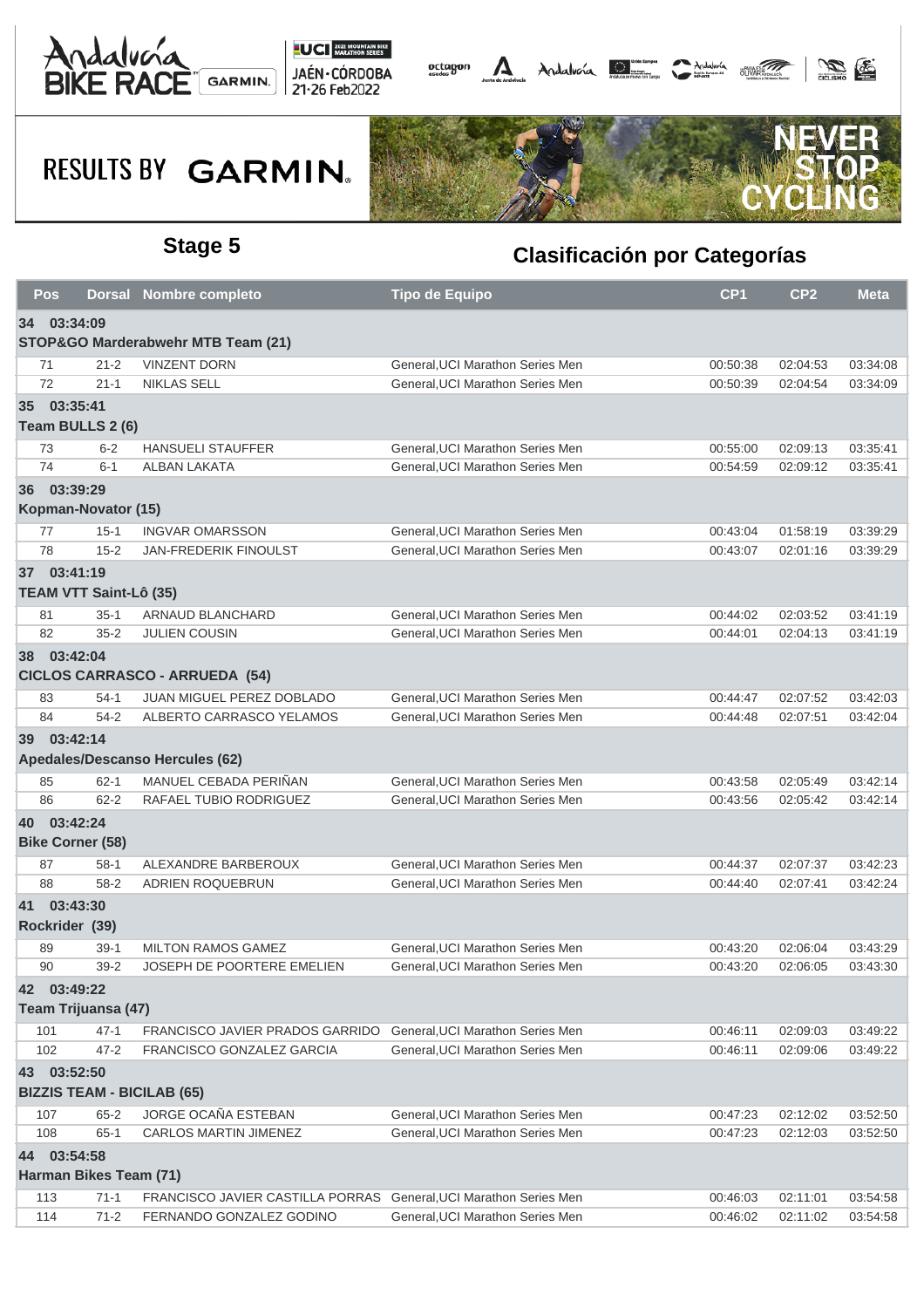





| Pos                           |          | <b>Dorsal Nombre completo</b>                                     | Tipo de Equipo                   | CP <sub>1</sub> | CP <sub>2</sub> | <b>Meta</b> |
|-------------------------------|----------|-------------------------------------------------------------------|----------------------------------|-----------------|-----------------|-------------|
| 34 03:34:09                   |          |                                                                   |                                  |                 |                 |             |
|                               |          | STOP&GO Marderabwehr MTB Team (21)                                |                                  |                 |                 |             |
| 71                            | $21 - 2$ | <b>VINZENT DORN</b>                                               | General, UCI Marathon Series Men | 00:50:38        | 02:04:53        | 03:34:08    |
| 72                            | $21 - 1$ | <b>NIKLAS SELL</b>                                                | General.UCI Marathon Series Men  | 00:50:39        | 02:04:54        | 03:34:09    |
| 35 03:35:41                   |          |                                                                   |                                  |                 |                 |             |
| Team BULLS 2 (6)              |          |                                                                   |                                  |                 |                 |             |
| 73                            | $6 - 2$  | <b>HANSUELI STAUFFER</b>                                          | General, UCI Marathon Series Men | 00:55:00        | 02:09:13        | 03:35:41    |
| 74                            | $6 - 1$  | ALBAN LAKATA                                                      | General, UCI Marathon Series Men | 00:54:59        | 02:09:12        | 03:35:41    |
| 36 03:39:29                   |          |                                                                   |                                  |                 |                 |             |
| Kopman-Novator (15)           |          |                                                                   |                                  |                 |                 |             |
| 77                            | $15 - 1$ | <b>INGVAR OMARSSON</b>                                            | General, UCI Marathon Series Men | 00:43:04        | 01:58:19        | 03:39:29    |
| 78                            | $15 - 2$ | <b>JAN-FREDERIK FINOULST</b>                                      | General, UCI Marathon Series Men | 00:43:07        | 02:01:16        | 03:39:29    |
| 37 03:41:19                   |          |                                                                   |                                  |                 |                 |             |
| <b>TEAM VTT Saint-Lô (35)</b> |          |                                                                   |                                  |                 |                 |             |
| 81                            | $35 - 1$ | ARNAUD BLANCHARD                                                  | General, UCI Marathon Series Men | 00:44:02        | 02:03:52        | 03:41:19    |
| 82                            | $35 - 2$ | <b>JULIEN COUSIN</b>                                              | General, UCI Marathon Series Men | 00:44:01        | 02:04:13        | 03:41:19    |
| 38 03:42:04                   |          |                                                                   |                                  |                 |                 |             |
|                               |          | <b>CICLOS CARRASCO - ARRUEDA (54)</b>                             |                                  |                 |                 |             |
| 83                            | $54-1$   | JUAN MIGUEL PEREZ DOBLADO                                         | General, UCI Marathon Series Men | 00:44:47        | 02:07:52        | 03:42:03    |
| 84                            | $54 - 2$ | ALBERTO CARRASCO YELAMOS                                          | General, UCI Marathon Series Men | 00:44:48        | 02:07:51        | 03:42:04    |
| 39 03:42:14                   |          |                                                                   |                                  |                 |                 |             |
|                               |          | Apedales/Descanso Hercules (62)                                   |                                  |                 |                 |             |
| 85                            | $62 - 1$ | MANUEL CEBADA PERIÑAN                                             | General, UCI Marathon Series Men | 00:43:58        | 02:05:49        | 03:42:14    |
| 86                            | $62 - 2$ | RAFAEL TUBIO RODRIGUEZ                                            | General, UCI Marathon Series Men | 00:43:56        | 02:05:42        | 03:42:14    |
| 40 03:42:24                   |          |                                                                   |                                  |                 |                 |             |
| <b>Bike Corner (58)</b>       |          |                                                                   |                                  |                 |                 |             |
| 87                            | $58-1$   | ALEXANDRE BARBEROUX                                               | General, UCI Marathon Series Men | 00:44:37        | 02:07:37        | 03:42:23    |
| 88                            | $58 - 2$ | ADRIEN ROQUEBRUN                                                  | General, UCI Marathon Series Men | 00:44:40        | 02:07:41        | 03:42:24    |
| 41 03:43:30                   |          |                                                                   |                                  |                 |                 |             |
| Rockrider (39)                |          |                                                                   |                                  |                 |                 |             |
| 89                            | $39-1$   | <b>MILTON RAMOS GAMEZ</b>                                         | General, UCI Marathon Series Men | 00:43:20        | 02:06:04        | 03:43:29    |
| 90                            | $39 - 2$ | <b>JOSEPH DE POORTERE EMELIEN</b>                                 | General, UCI Marathon Series Men | 00:43:20        | 02:06:05        | 03:43:30    |
| 42 03:49:22                   |          |                                                                   |                                  |                 |                 |             |
| Team Trijuansa (47)           |          |                                                                   |                                  |                 |                 |             |
| 101                           | $47 - 1$ | FRANCISCO JAVIER PRADOS GARRIDO General, UCI Marathon Series Men  |                                  | 00:46:11        | 02:09:03        | 03:49:22    |
| 102                           | $47 - 2$ | FRANCISCO GONZALEZ GARCIA                                         | General.UCI Marathon Series Men  | 00:46:11        | 02:09:06        | 03:49:22    |
| 43 03:52:50                   |          |                                                                   |                                  |                 |                 |             |
|                               |          | <b>BIZZIS TEAM - BICILAB (65)</b>                                 |                                  |                 |                 |             |
| 107                           | $65 - 2$ | JORGE OCAÑA ESTEBAN                                               | General, UCI Marathon Series Men | 00:47:23        | 02:12:02        | 03:52:50    |
| 108                           | $65-1$   | CARLOS MARTIN JIMENEZ                                             | General, UCI Marathon Series Men | 00:47:23        | 02:12:03        | 03:52:50    |
| 44 03:54:58                   |          |                                                                   |                                  |                 |                 |             |
| Harman Bikes Team (71)        |          |                                                                   |                                  |                 |                 |             |
| 113                           | $71-1$   | FRANCISCO JAVIER CASTILLA PORRAS General, UCI Marathon Series Men |                                  | 00:46:03        | 02:11:01        | 03:54:58    |
| 114                           | $71 - 2$ | FERNANDO GONZALEZ GODINO                                          | General, UCI Marathon Series Men | 00:46:02        | 02:11:02        | 03:54:58    |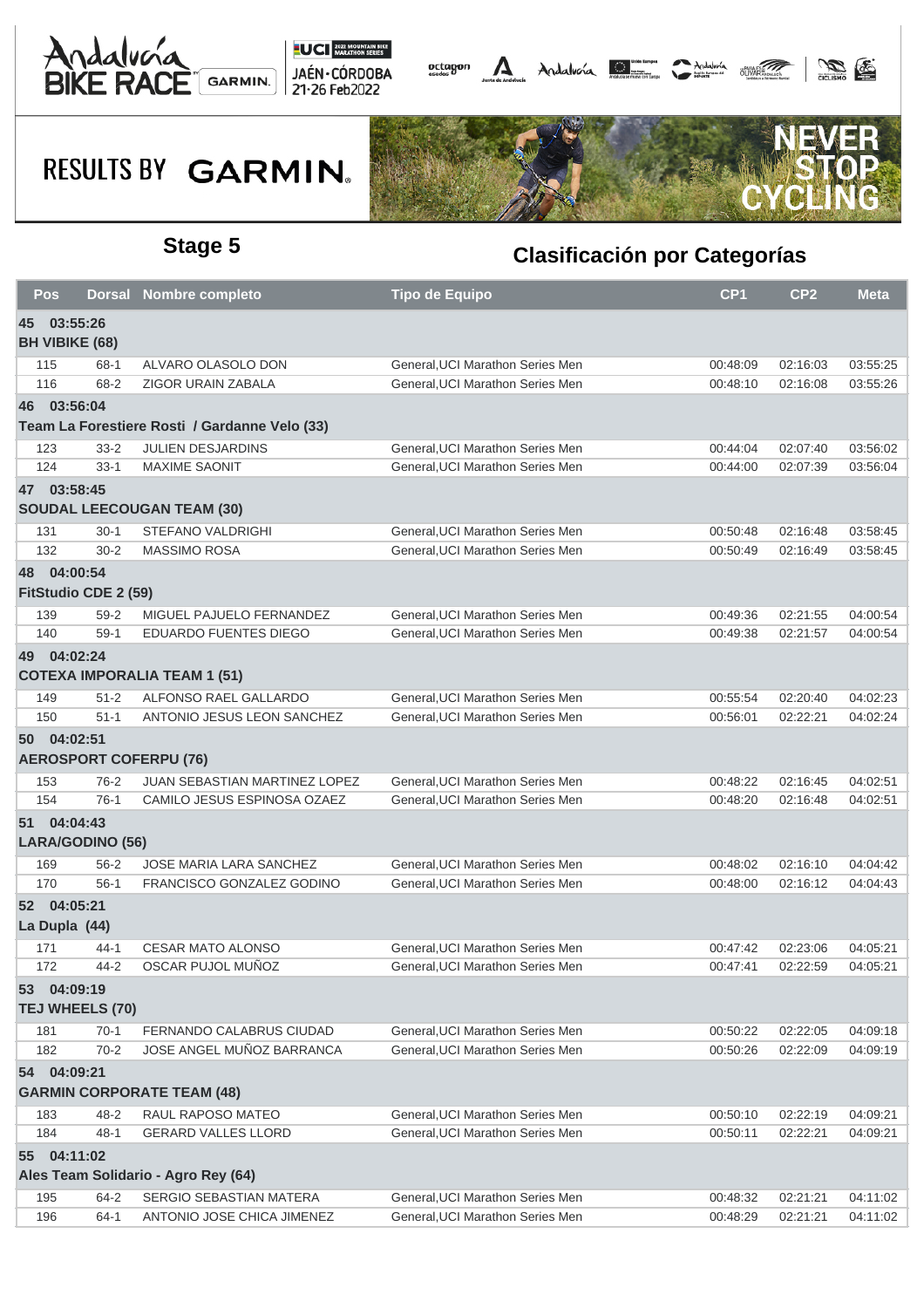





|    | <b>Pos</b>                        |          | <b>Dorsal Nombre completo</b>                 | <b>Tipo de Equipo</b>            | CP <sub>1</sub> | CP <sub>2</sub> | <b>Meta</b> |
|----|-----------------------------------|----------|-----------------------------------------------|----------------------------------|-----------------|-----------------|-------------|
| 45 | 03:55:26<br><b>BH VIBIKE (68)</b> |          |                                               |                                  |                 |                 |             |
|    | 115                               | $68 - 1$ | ALVARO OLASOLO DON                            | General, UCI Marathon Series Men | 00:48:09        | 02:16:03        | 03:55:25    |
|    | 116                               | 68-2     | ZIGOR URAIN ZABALA                            | General, UCI Marathon Series Men | 00:48:10        | 02:16:08        | 03:55:26    |
|    | 46 03:56:04                       |          |                                               |                                  |                 |                 |             |
|    |                                   |          | Team La Forestiere Rosti / Gardanne Velo (33) |                                  |                 |                 |             |
|    | 123                               | $33 - 2$ | <b>JULIEN DESJARDINS</b>                      | General, UCI Marathon Series Men | 00:44:04        | 02:07:40        | 03:56:02    |
|    | 124                               | $33 - 1$ | <b>MAXIME SAONIT</b>                          | General, UCI Marathon Series Men | 00:44:00        | 02:07:39        | 03:56:04    |
|    | 47 03:58:45                       |          |                                               |                                  |                 |                 |             |
|    |                                   |          | <b>SOUDAL LEECOUGAN TEAM (30)</b>             |                                  |                 |                 |             |
|    | 131                               | $30 - 1$ | <b>STEFANO VALDRIGHI</b>                      | General, UCI Marathon Series Men | 00:50:48        | 02:16:48        | 03:58:45    |
|    | 132                               | $30 - 2$ | <b>MASSIMO ROSA</b>                           | General, UCI Marathon Series Men | 00:50:49        | 02:16:49        | 03:58:45    |
|    | 48 04:00:54                       |          |                                               |                                  |                 |                 |             |
|    | FitStudio CDE 2 (59)              |          |                                               |                                  |                 |                 |             |
|    | 139                               | $59 - 2$ | MIGUEL PAJUELO FERNANDEZ                      | General, UCI Marathon Series Men | 00:49:36        | 02:21:55        | 04:00:54    |
|    | 140                               | $59-1$   | EDUARDO FUENTES DIEGO                         | General, UCI Marathon Series Men | 00:49:38        | 02:21:57        | 04:00:54    |
|    | 49 04:02:24                       |          |                                               |                                  |                 |                 |             |
|    |                                   |          | <b>COTEXA IMPORALIA TEAM 1 (51)</b>           |                                  |                 |                 |             |
|    | 149                               | $51 - 2$ | ALFONSO RAEL GALLARDO                         | General, UCI Marathon Series Men | 00:55:54        | 02:20:40        | 04:02:23    |
|    | 150                               | $51 - 1$ | <b>ANTONIO JESUS LEON SANCHEZ</b>             | General, UCI Marathon Series Men | 00:56:01        | 02:22:21        | 04:02:24    |
|    | 50 04:02:51                       |          |                                               |                                  |                 |                 |             |
|    |                                   |          | <b>AEROSPORT COFERPU (76)</b>                 |                                  |                 |                 |             |
|    | 153                               | $76 - 2$ | <b>JUAN SEBASTIAN MARTINEZ LOPEZ</b>          | General, UCI Marathon Series Men | 00:48:22        | 02:16:45        | 04:02:51    |
|    | 154                               | $76-1$   | CAMILO JESUS ESPINOSA OZAEZ                   | General, UCI Marathon Series Men | 00:48:20        | 02:16:48        | 04:02:51    |
|    | 51 04:04:43<br>LARA/GODINO (56)   |          |                                               |                                  |                 |                 |             |
|    | 169                               | $56 - 2$ | <b>JOSE MARIA LARA SANCHEZ</b>                | General, UCI Marathon Series Men | 00:48:02        | 02:16:10        | 04:04:42    |
|    | 170                               | $56-1$   | <b>FRANCISCO GONZALEZ GODINO</b>              | General, UCI Marathon Series Men | 00:48:00        | 02:16:12        | 04:04:43    |
|    | 52 04:05:21                       |          |                                               |                                  |                 |                 |             |
|    | La Dupla (44)                     |          |                                               |                                  |                 |                 |             |
|    | 171                               | $44 - 1$ | <b>CESAR MATO ALONSO</b>                      | General, UCI Marathon Series Men | 00:47:42        | 02:23:06        | 04:05:21    |
|    | 172                               | $44 - 2$ | OSCAR PUJOL MUÑOZ                             | General, UCI Marathon Series Men | 00:47:41        | 02:22:59        | 04:05:21    |
|    | 53 04:09:19<br>TEJ WHEELS (70)    |          |                                               |                                  |                 |                 |             |
|    | 181                               | $70-1$   | FERNANDO CALABRUS CIUDAD                      | General, UCI Marathon Series Men | 00:50:22        | 02:22:05        | 04:09:18    |
|    | 182                               | $70 - 2$ | JOSE ANGEL MUÑOZ BARRANCA                     | General, UCI Marathon Series Men | 00:50:26        | 02:22:09        | 04:09:19    |
|    | 54 04:09:21                       |          |                                               |                                  |                 |                 |             |
|    |                                   |          | <b>GARMIN CORPORATE TEAM (48)</b>             |                                  |                 |                 |             |
|    | 183                               | $48 - 2$ | RAUL RAPOSO MATEO                             | General, UCI Marathon Series Men | 00:50:10        | 02:22:19        | 04:09:21    |
|    | 184                               | $48 - 1$ | <b>GERARD VALLES LLORD</b>                    | General, UCI Marathon Series Men | 00:50:11        | 02:22:21        | 04:09:21    |
|    | 55 04:11:02                       |          |                                               |                                  |                 |                 |             |
|    |                                   |          | Ales Team Solidario - Agro Rey (64)           |                                  |                 |                 |             |
|    | 195                               | $64 - 2$ | SERGIO SEBASTIAN MATERA                       | General, UCI Marathon Series Men | 00:48:32        | 02:21:21        | 04:11:02    |
|    | 196                               | $64-1$   | ANTONIO JOSE CHICA JIMENEZ                    | General, UCI Marathon Series Men | 00:48:29        | 02:21:21        | 04:11:02    |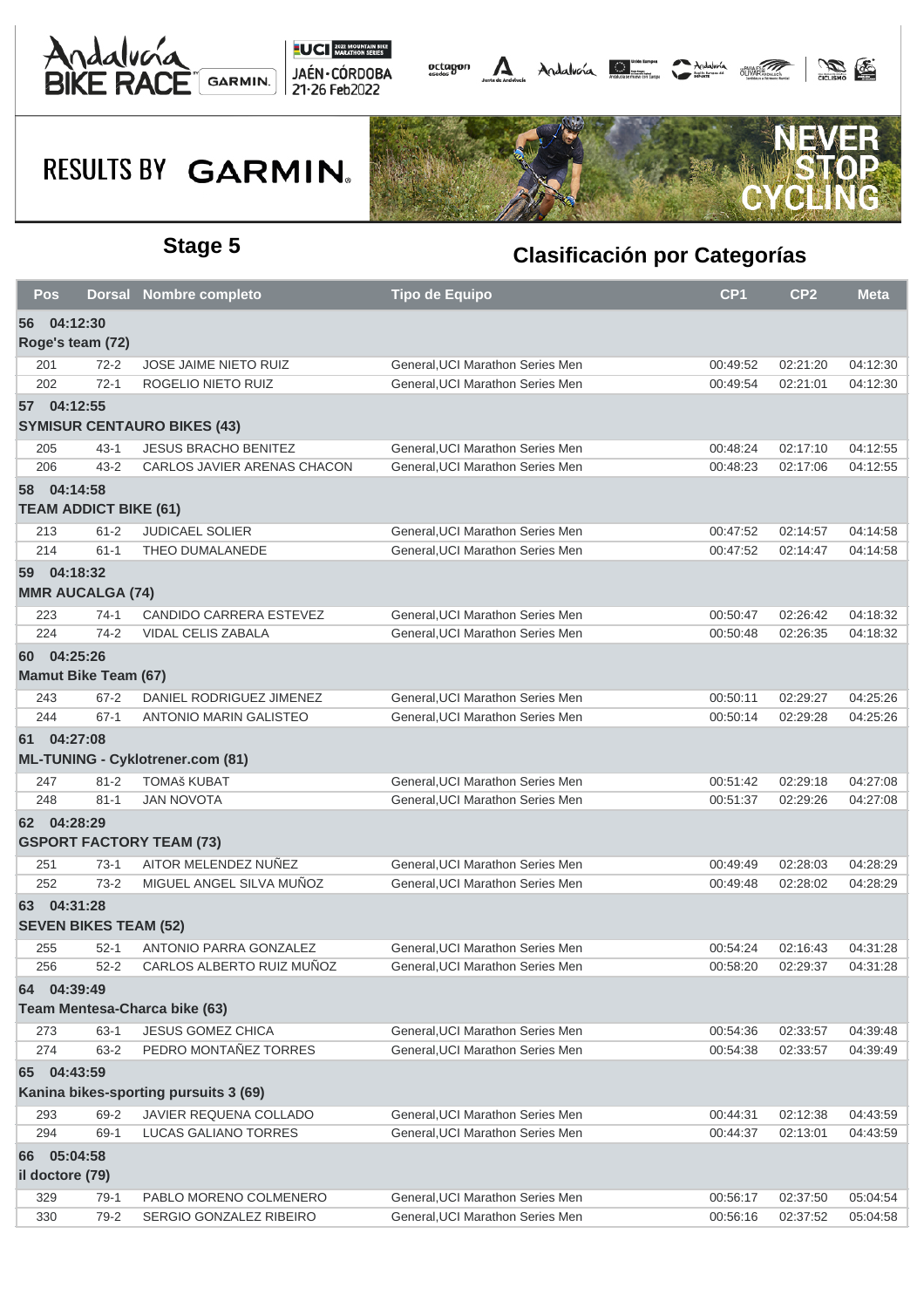





| Pos             |                              | <b>Dorsal Nombre completo</b>           | <b>Tipo de Equipo</b>            | CP <sub>1</sub> | CP <sub>2</sub> | <b>Meta</b> |
|-----------------|------------------------------|-----------------------------------------|----------------------------------|-----------------|-----------------|-------------|
| 56 04:12:30     |                              |                                         |                                  |                 |                 |             |
|                 | Roge's team (72)             |                                         |                                  |                 |                 |             |
| 201             | $72-2$                       | JOSE JAIME NIETO RUIZ                   | General, UCI Marathon Series Men | 00:49:52        | 02:21:20        | 04:12:30    |
| 202             | $72-1$                       | ROGELIO NIETO RUIZ                      | General, UCI Marathon Series Men | 00:49:54        | 02:21:01        | 04:12:30    |
| 57 04:12:55     |                              |                                         |                                  |                 |                 |             |
|                 |                              | <b>SYMISUR CENTAURO BIKES (43)</b>      |                                  |                 |                 |             |
| 205             | $43 - 1$                     | <b>JESUS BRACHO BENITEZ</b>             | General, UCI Marathon Series Men | 00:48:24        | 02:17:10        | 04:12:55    |
| 206             | $43 - 2$                     | CARLOS JAVIER ARENAS CHACON             | General, UCI Marathon Series Men | 00:48:23        | 02:17:06        | 04:12:55    |
| 58 04:14:58     |                              |                                         |                                  |                 |                 |             |
|                 | <b>TEAM ADDICT BIKE (61)</b> |                                         |                                  |                 |                 |             |
| 213             | $61 - 2$                     | <b>JUDICAEL SOLIER</b>                  | General, UCI Marathon Series Men | 00:47:52        | 02:14:57        | 04:14:58    |
| 214             | $61 - 1$                     | THEO DUMALANEDE                         | General, UCI Marathon Series Men | 00:47:52        | 02:14:47        | 04:14:58    |
| 59 04:18:32     |                              |                                         |                                  |                 |                 |             |
|                 | <b>MMR AUCALGA (74)</b>      |                                         |                                  |                 |                 |             |
| 223             | $74-1$                       | CANDIDO CARRERA ESTEVEZ                 | General, UCI Marathon Series Men | 00:50:47        | 02:26:42        | 04:18:32    |
| 224             | $74-2$                       | <b>VIDAL CELIS ZABALA</b>               | General.UCI Marathon Series Men  | 00:50:48        | 02:26:35        | 04:18:32    |
| 60 04:25:26     |                              |                                         |                                  |                 |                 |             |
|                 | <b>Mamut Bike Team (67)</b>  |                                         |                                  |                 |                 |             |
| 243             | $67 - 2$                     | DANIEL RODRIGUEZ JIMENEZ                | General, UCI Marathon Series Men | 00:50:11        | 02:29:27        | 04:25:26    |
| 244             | $67-1$                       | <b>ANTONIO MARIN GALISTEO</b>           | General, UCI Marathon Series Men | 00:50:14        | 02:29:28        | 04:25:26    |
| 61 04:27:08     |                              |                                         |                                  |                 |                 |             |
|                 |                              | <b>ML-TUNING - Cyklotrener.com (81)</b> |                                  |                 |                 |             |
| 247             | $81 - 2$                     | TOMAš KUBAT                             | General, UCI Marathon Series Men | 00:51:42        | 02:29:18        | 04:27:08    |
| 248             | $81 - 1$                     | <b>JAN NOVOTA</b>                       | General, UCI Marathon Series Men | 00:51:37        | 02:29:26        | 04:27:08    |
| 62 04:28:29     |                              |                                         |                                  |                 |                 |             |
|                 |                              | <b>GSPORT FACTORY TEAM (73)</b>         |                                  |                 |                 |             |
| 251             | $73-1$                       | AITOR MELENDEZ NUÑEZ                    | General, UCI Marathon Series Men | 00:49:49        | 02:28:03        | 04:28:29    |
| 252             | $73-2$                       | MIGUEL ANGEL SILVA MUÑOZ                | General, UCI Marathon Series Men | 00:49:48        | 02:28:02        | 04:28:29    |
| 63 04:31:28     |                              |                                         |                                  |                 |                 |             |
|                 | <b>SEVEN BIKES TEAM (52)</b> |                                         |                                  |                 |                 |             |
| 255             | $52-1$                       | <b>ANTONIO PARRA GONZALEZ</b>           | General, UCI Marathon Series Men | 00:54:24        | 02:16:43        | 04:31:28    |
| 256             | $52 - 2$                     | CARLOS ALBERTO RUIZ MUÑOZ               | General, UCI Marathon Series Men | 00:58:20        | 02:29:37        | 04:31:28    |
| 64 04:39:49     |                              |                                         |                                  |                 |                 |             |
|                 |                              | Team Mentesa-Charca bike (63)           |                                  |                 |                 |             |
| 273             | $63-1$                       | JESUS GOMEZ CHICA                       | General, UCI Marathon Series Men | 00:54:36        | 02:33:57        | 04:39:48    |
| 274             | $63 - 2$                     | PEDRO MONTAÑEZ TORRES                   | General, UCI Marathon Series Men | 00:54:38        | 02:33:57        | 04:39:49    |
| 65 04:43:59     |                              |                                         |                                  |                 |                 |             |
|                 |                              | Kanina bikes-sporting pursuits 3 (69)   |                                  |                 |                 |             |
| 293             | 69-2                         | JAVIER REQUENA COLLADO                  | General, UCI Marathon Series Men | 00:44:31        | 02:12:38        | 04:43:59    |
| 294             | $69-1$                       | LUCAS GALIANO TORRES                    | General, UCI Marathon Series Men | 00:44:37        | 02:13:01        | 04:43:59    |
| 66 05:04:58     |                              |                                         |                                  |                 |                 |             |
| il doctore (79) |                              |                                         |                                  |                 |                 |             |
| 329             | 79-1                         | PABLO MORENO COLMENERO                  | General, UCI Marathon Series Men | 00:56:17        | 02:37:50        | 05:04:54    |
| 330             | 79-2                         | SERGIO GONZALEZ RIBEIRO                 | General, UCI Marathon Series Men | 00:56:16        | 02:37:52        | 05:04:58    |